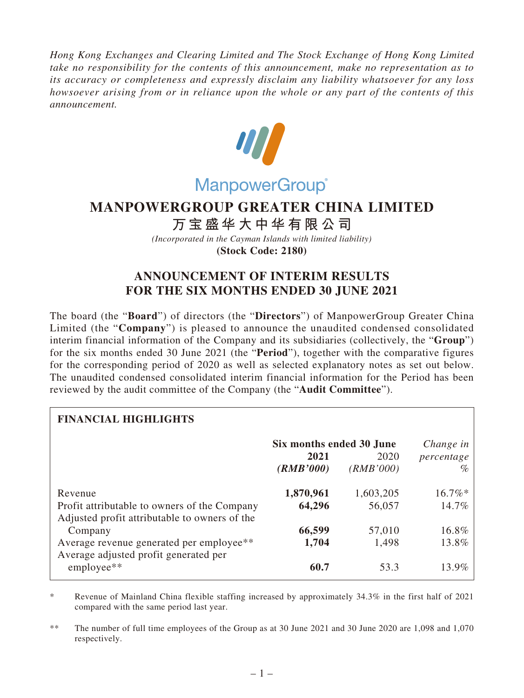*Hong Kong Exchanges and Clearing Limited and The Stock Exchange of Hong Kong Limited take no responsibility for the contents of this announcement, make no representation as to its accuracy or completeness and expressly disclaim any liability whatsoever for any loss howsoever arising from or in reliance upon the whole or any part of the contents of this announcement.*



## **MANPOWERGROUP GREATER CHINA LIMITED**

**万宝盛华大中华有限公司**

*(Incorporated in the Cayman Islands with limited liability)* **(Stock Code: 2180)**

## **ANNOUNCEMENT OF INTERIM RESULTS FOR THE SIX MONTHS ENDED 30 JUNE 2021**

The board (the "**Board**") of directors (the "**Directors**") of ManpowerGroup Greater China Limited (the "**Company**") is pleased to announce the unaudited condensed consolidated interim financial information of the Company and its subsidiaries (collectively, the "**Group**") for the six months ended 30 June 2021 (the "**Period**"), together with the comparative figures for the corresponding period of 2020 as well as selected explanatory notes as set out below. The unaudited condensed consolidated interim financial information for the Period has been reviewed by the audit committee of the Company (the "**Audit Committee**").

| <b>FINANCIAL HIGHLIGHTS</b>                                                                   |                          |           |            |
|-----------------------------------------------------------------------------------------------|--------------------------|-----------|------------|
|                                                                                               | Six months ended 30 June |           | Change in  |
|                                                                                               | 2021                     | 2020      | percentage |
|                                                                                               | (RMB'000)                | (RMB'000) | $\%$       |
| Revenue                                                                                       | 1,870,961                | 1,603,205 | $16.7\%*$  |
| Profit attributable to owners of the Company<br>Adjusted profit attributable to owners of the | 64,296                   | 56,057    | 14.7%      |
| Company                                                                                       | 66,599                   | 57,010    | 16.8%      |
| Average revenue generated per employee**<br>Average adjusted profit generated per             | 1,704                    | 1,498     | 13.8%      |
| employee**                                                                                    | 60.7                     | 53.3      | 13.9%      |

\* Revenue of Mainland China flexible staffing increased by approximately 34.3% in the first half of 2021 compared with the same period last year.

\*\* The number of full time employees of the Group as at 30 June 2021 and 30 June 2020 are 1,098 and 1,070 respectively.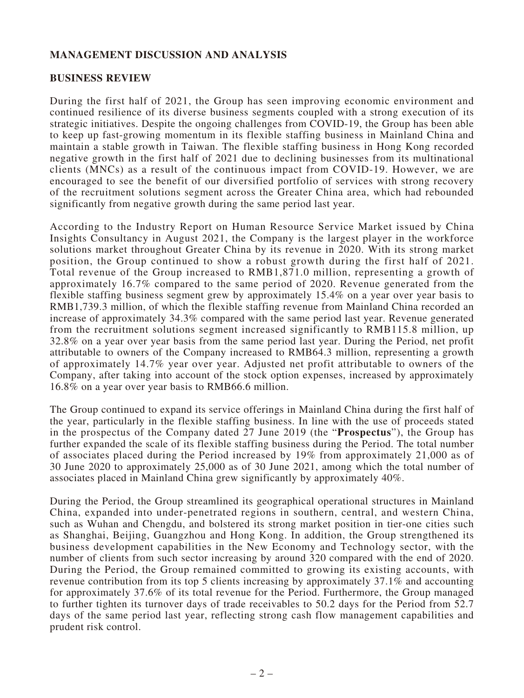## **MANAGEMENT DISCUSSION AND ANALYSIS**

## **BUSINESS REVIEW**

During the first half of 2021, the Group has seen improving economic environment and continued resilience of its diverse business segments coupled with a strong execution of its strategic initiatives. Despite the ongoing challenges from COVID-19, the Group has been able to keep up fast-growing momentum in its flexible staffing business in Mainland China and maintain a stable growth in Taiwan. The flexible staffing business in Hong Kong recorded negative growth in the first half of 2021 due to declining businesses from its multinational clients (MNCs) as a result of the continuous impact from COVID-19. However, we are encouraged to see the benefit of our diversified portfolio of services with strong recovery of the recruitment solutions segment across the Greater China area, which had rebounded significantly from negative growth during the same period last year.

According to the Industry Report on Human Resource Service Market issued by China Insights Consultancy in August 2021, the Company is the largest player in the workforce solutions market throughout Greater China by its revenue in 2020. With its strong market position, the Group continued to show a robust growth during the first half of 2021. Total revenue of the Group increased to RMB1,871.0 million, representing a growth of approximately 16.7% compared to the same period of 2020. Revenue generated from the flexible staffing business segment grew by approximately 15.4% on a year over year basis to RMB1,739.3 million, of which the flexible staffing revenue from Mainland China recorded an increase of approximately 34.3% compared with the same period last year. Revenue generated from the recruitment solutions segment increased significantly to RMB115.8 million, up 32.8% on a year over year basis from the same period last year. During the Period, net profit attributable to owners of the Company increased to RMB64.3 million, representing a growth of approximately 14.7% year over year. Adjusted net profit attributable to owners of the Company, after taking into account of the stock option expenses, increased by approximately 16.8% on a year over year basis to RMB66.6 million.

The Group continued to expand its service offerings in Mainland China during the first half of the year, particularly in the flexible staffing business. In line with the use of proceeds stated in the prospectus of the Company dated 27 June 2019 (the "**Prospectus**"), the Group has further expanded the scale of its flexible staffing business during the Period. The total number of associates placed during the Period increased by 19% from approximately 21,000 as of 30 June 2020 to approximately 25,000 as of 30 June 2021, among which the total number of associates placed in Mainland China grew significantly by approximately 40%.

During the Period, the Group streamlined its geographical operational structures in Mainland China, expanded into under-penetrated regions in southern, central, and western China, such as Wuhan and Chengdu, and bolstered its strong market position in tier-one cities such as Shanghai, Beijing, Guangzhou and Hong Kong. In addition, the Group strengthened its business development capabilities in the New Economy and Technology sector, with the number of clients from such sector increasing by around 320 compared with the end of 2020. During the Period, the Group remained committed to growing its existing accounts, with revenue contribution from its top 5 clients increasing by approximately 37.1% and accounting for approximately 37.6% of its total revenue for the Period. Furthermore, the Group managed to further tighten its turnover days of trade receivables to 50.2 days for the Period from 52.7 days of the same period last year, reflecting strong cash flow management capabilities and prudent risk control.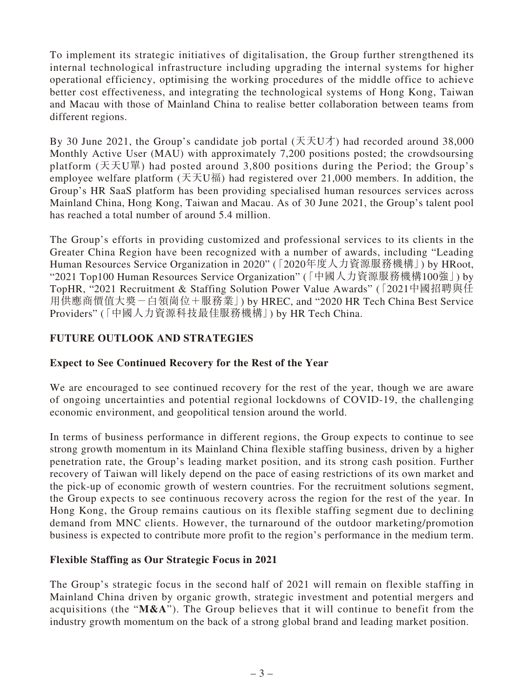To implement its strategic initiatives of digitalisation, the Group further strengthened its internal technological infrastructure including upgrading the internal systems for higher operational efficiency, optimising the working procedures of the middle office to achieve better cost effectiveness, and integrating the technological systems of Hong Kong, Taiwan and Macau with those of Mainland China to realise better collaboration between teams from different regions.

By 30 June 2021, the Group's candidate job portal  $(\pm \pm \pm 0)$  had recorded around 38,000 Monthly Active User (MAU) with approximately 7,200 positions posted; the crowdsoursing platform (天天U單) had posted around 3,800 positions during the Period; the Group's employee welfare platform (天天U福) had registered over 21,000 members. In addition, the Group's HR SaaS platform has been providing specialised human resources services across Mainland China, Hong Kong, Taiwan and Macau. As of 30 June 2021, the Group's talent pool has reached a total number of around 5.4 million.

The Group's efforts in providing customized and professional services to its clients in the Greater China Region have been recognized with a number of awards, including "Leading Human Resources Service Organization in 2020" (「2020年度人力資源服務機構」) by HRoot, "2021 Top100 Human Resources Service Organization" (「中國人力資源服務機構100強」) by TopHR, "2021 Recruitment & Staffing Solution Power Value Awards" (「2021中國招聘與任 用供應商價值大獎-白領崗位+服務業」) by HREC, and "2020 HR Tech China Best Service Providers" (「中國人力資源科技最佳服務機構」) by HR Tech China.

## **FUTURE OUTLOOK AND STRATEGIES**

## **Expect to See Continued Recovery for the Rest of the Year**

We are encouraged to see continued recovery for the rest of the year, though we are aware of ongoing uncertainties and potential regional lockdowns of COVID-19, the challenging economic environment, and geopolitical tension around the world.

In terms of business performance in different regions, the Group expects to continue to see strong growth momentum in its Mainland China flexible staffing business, driven by a higher penetration rate, the Group's leading market position, and its strong cash position. Further recovery of Taiwan will likely depend on the pace of easing restrictions of its own market and the pick-up of economic growth of western countries. For the recruitment solutions segment, the Group expects to see continuous recovery across the region for the rest of the year. In Hong Kong, the Group remains cautious on its flexible staffing segment due to declining demand from MNC clients. However, the turnaround of the outdoor marketing/promotion business is expected to contribute more profit to the region's performance in the medium term.

## **Flexible Staffing as Our Strategic Focus in 2021**

The Group's strategic focus in the second half of 2021 will remain on flexible staffing in Mainland China driven by organic growth, strategic investment and potential mergers and acquisitions (the "**M&A**"). The Group believes that it will continue to benefit from the industry growth momentum on the back of a strong global brand and leading market position.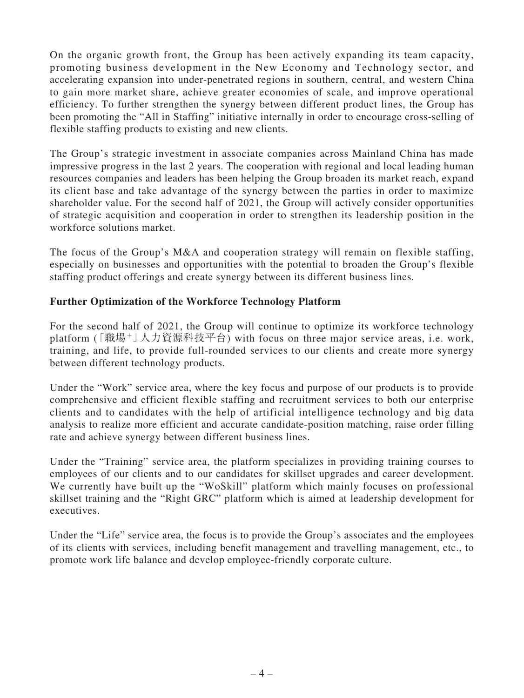On the organic growth front, the Group has been actively expanding its team capacity, promoting business development in the New Economy and Technology sector, and accelerating expansion into under-penetrated regions in southern, central, and western China to gain more market share, achieve greater economies of scale, and improve operational efficiency. To further strengthen the synergy between different product lines, the Group has been promoting the "All in Staffing" initiative internally in order to encourage cross-selling of flexible staffing products to existing and new clients.

The Group's strategic investment in associate companies across Mainland China has made impressive progress in the last 2 years. The cooperation with regional and local leading human resources companies and leaders has been helping the Group broaden its market reach, expand its client base and take advantage of the synergy between the parties in order to maximize shareholder value. For the second half of 2021, the Group will actively consider opportunities of strategic acquisition and cooperation in order to strengthen its leadership position in the workforce solutions market.

The focus of the Group's M&A and cooperation strategy will remain on flexible staffing, especially on businesses and opportunities with the potential to broaden the Group's flexible staffing product offerings and create synergy between its different business lines.

## **Further Optimization of the Workforce Technology Platform**

For the second half of 2021, the Group will continue to optimize its workforce technology platform (「職場+」人力資源科技平台) with focus on three major service areas, i.e. work, training, and life, to provide full-rounded services to our clients and create more synergy between different technology products.

Under the "Work" service area, where the key focus and purpose of our products is to provide comprehensive and efficient flexible staffing and recruitment services to both our enterprise clients and to candidates with the help of artificial intelligence technology and big data analysis to realize more efficient and accurate candidate-position matching, raise order filling rate and achieve synergy between different business lines.

Under the "Training" service area, the platform specializes in providing training courses to employees of our clients and to our candidates for skillset upgrades and career development. We currently have built up the "WoSkill" platform which mainly focuses on professional skillset training and the "Right GRC" platform which is aimed at leadership development for executives.

Under the "Life" service area, the focus is to provide the Group's associates and the employees of its clients with services, including benefit management and travelling management, etc., to promote work life balance and develop employee-friendly corporate culture.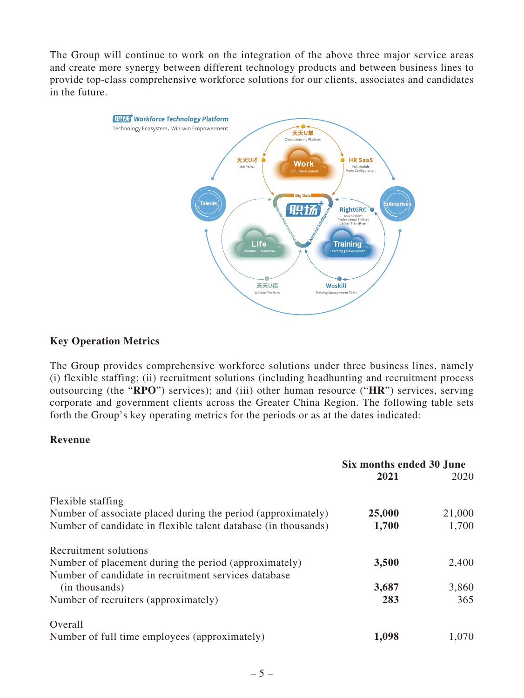The Group will continue to work on the integration of the above three major service areas and create more synergy between different technology products and between business lines to provide top-class comprehensive workforce solutions for our clients, associates and candidates in the future.



### **Key Operation Metrics**

The Group provides comprehensive workforce solutions under three business lines, namely (i) flexible staffing; (ii) recruitment solutions (including headhunting and recruitment process outsourcing (the "**RPO**") services); and (iii) other human resource ("**HR**") services, serving corporate and government clients across the Greater China Region. The following table sets forth the Group's key operating metrics for the periods or as at the dates indicated:

### **Revenue**

|                                                                | Six months ended 30 June |        |
|----------------------------------------------------------------|--------------------------|--------|
|                                                                | 2021                     | 2020   |
| Flexible staffing                                              |                          |        |
| Number of associate placed during the period (approximately)   | 25,000                   | 21,000 |
| Number of candidate in flexible talent database (in thousands) | 1,700                    | 1,700  |
| Recruitment solutions                                          |                          |        |
| Number of placement during the period (approximately)          | 3,500                    | 2,400  |
| Number of candidate in recruitment services database           |                          |        |
| (in thousands)                                                 | 3,687                    | 3,860  |
| Number of recruiters (approximately)                           | 283                      | 365    |
| Overall                                                        |                          |        |
| Number of full time employees (approximately)                  | 1,098                    | 1,070  |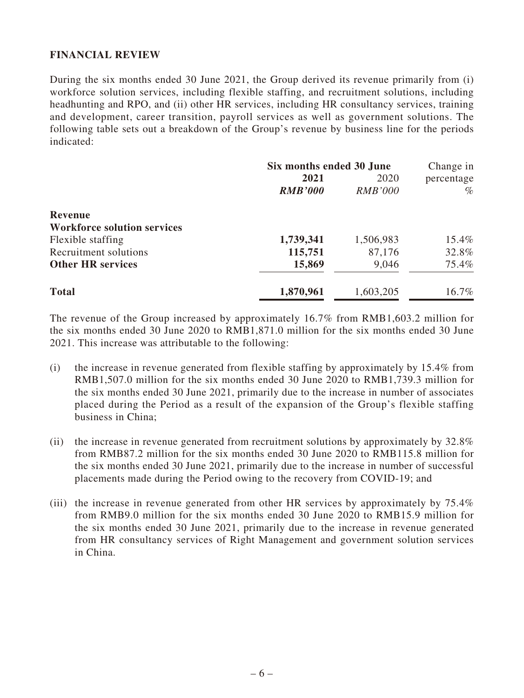## **FINANCIAL REVIEW**

During the six months ended 30 June 2021, the Group derived its revenue primarily from (i) workforce solution services, including flexible staffing, and recruitment solutions, including headhunting and RPO, and (ii) other HR services, including HR consultancy services, training and development, career transition, payroll services as well as government solutions. The following table sets out a breakdown of the Group's revenue by business line for the periods indicated:

|                                    | Six months ended 30 June |                | Change in  |  |
|------------------------------------|--------------------------|----------------|------------|--|
|                                    | 2021                     | 2020           | percentage |  |
|                                    | <b>RMB'000</b>           | <b>RMB'000</b> | $\%$       |  |
| Revenue                            |                          |                |            |  |
| <b>Workforce solution services</b> |                          |                |            |  |
| Flexible staffing                  | 1,739,341                | 1,506,983      | 15.4%      |  |
| Recruitment solutions              | 115,751                  | 87,176         | 32.8%      |  |
| <b>Other HR services</b>           | 15,869                   | 9,046          | 75.4%      |  |
| <b>Total</b>                       | 1,870,961                | 1,603,205      | 16.7%      |  |

The revenue of the Group increased by approximately 16.7% from RMB1,603.2 million for the six months ended 30 June 2020 to RMB1,871.0 million for the six months ended 30 June 2021. This increase was attributable to the following:

- (i) the increase in revenue generated from flexible staffing by approximately by 15.4% from RMB1,507.0 million for the six months ended 30 June 2020 to RMB1,739.3 million for the six months ended 30 June 2021, primarily due to the increase in number of associates placed during the Period as a result of the expansion of the Group's flexible staffing business in China;
- (ii) the increase in revenue generated from recruitment solutions by approximately by 32.8% from RMB87.2 million for the six months ended 30 June 2020 to RMB115.8 million for the six months ended 30 June 2021, primarily due to the increase in number of successful placements made during the Period owing to the recovery from COVID-19; and
- (iii) the increase in revenue generated from other HR services by approximately by 75.4% from RMB9.0 million for the six months ended 30 June 2020 to RMB15.9 million for the six months ended 30 June 2021, primarily due to the increase in revenue generated from HR consultancy services of Right Management and government solution services in China.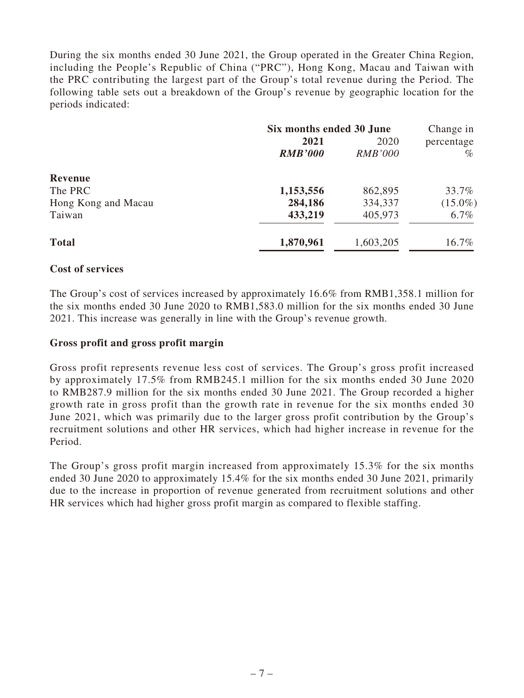During the six months ended 30 June 2021, the Group operated in the Greater China Region, including the People's Republic of China ("PRC"), Hong Kong, Macau and Taiwan with the PRC contributing the largest part of the Group's total revenue during the Period. The following table sets out a breakdown of the Group's revenue by geographic location for the periods indicated:

|                     | Six months ended 30 June |                | Change in  |
|---------------------|--------------------------|----------------|------------|
|                     | 2021                     | 2020           | percentage |
|                     | <b>RMB'000</b>           | <b>RMB'000</b> | $\%$       |
| Revenue             |                          |                |            |
| The PRC             | 1,153,556                | 862,895        | 33.7%      |
| Hong Kong and Macau | 284,186                  | 334,337        | $(15.0\%)$ |
| Taiwan              | 433,219                  | 405,973        | $6.7\%$    |
| <b>Total</b>        | 1,870,961                | 1,603,205      | 16.7%      |

## **Cost of services**

The Group's cost of services increased by approximately 16.6% from RMB1,358.1 million for the six months ended 30 June 2020 to RMB1,583.0 million for the six months ended 30 June 2021. This increase was generally in line with the Group's revenue growth.

### **Gross profit and gross profit margin**

Gross profit represents revenue less cost of services. The Group's gross profit increased by approximately 17.5% from RMB245.1 million for the six months ended 30 June 2020 to RMB287.9 million for the six months ended 30 June 2021. The Group recorded a higher growth rate in gross profit than the growth rate in revenue for the six months ended 30 June 2021, which was primarily due to the larger gross profit contribution by the Group's recruitment solutions and other HR services, which had higher increase in revenue for the Period.

The Group's gross profit margin increased from approximately 15.3% for the six months ended 30 June 2020 to approximately 15.4% for the six months ended 30 June 2021, primarily due to the increase in proportion of revenue generated from recruitment solutions and other HR services which had higher gross profit margin as compared to flexible staffing.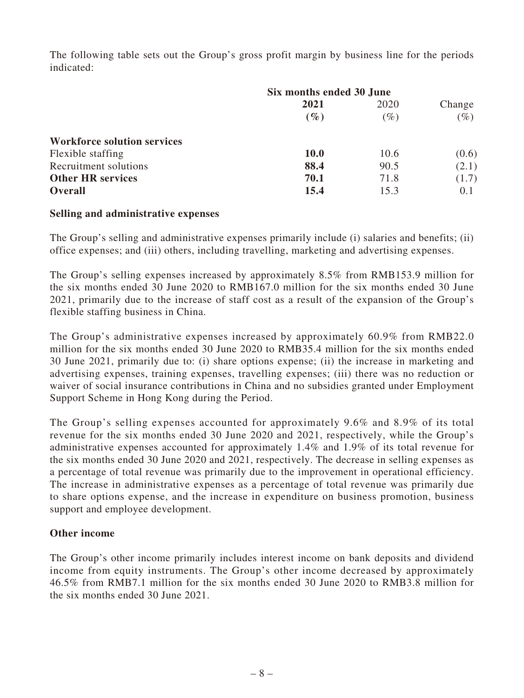The following table sets out the Group's gross profit margin by business line for the periods indicated:

|                                    | Six months ended 30 June |        |        |
|------------------------------------|--------------------------|--------|--------|
|                                    | 2021                     | 2020   | Change |
|                                    | $(\%)$                   | $(\%)$ | $(\%)$ |
| <b>Workforce solution services</b> |                          |        |        |
| Flexible staffing                  | <b>10.0</b>              | 10.6   | (0.6)  |
| Recruitment solutions              | 88.4                     | 90.5   | (2.1)  |
| <b>Other HR services</b>           | 70.1                     | 71.8   | (1.7)  |
| <b>Overall</b>                     | 15.4                     | 15.3   | 0.1    |

## **Selling and administrative expenses**

The Group's selling and administrative expenses primarily include (i) salaries and benefits; (ii) office expenses; and (iii) others, including travelling, marketing and advertising expenses.

The Group's selling expenses increased by approximately 8.5% from RMB153.9 million for the six months ended 30 June 2020 to RMB167.0 million for the six months ended 30 June 2021, primarily due to the increase of staff cost as a result of the expansion of the Group's flexible staffing business in China.

The Group's administrative expenses increased by approximately 60.9% from RMB22.0 million for the six months ended 30 June 2020 to RMB35.4 million for the six months ended 30 June 2021, primarily due to: (i) share options expense; (ii) the increase in marketing and advertising expenses, training expenses, travelling expenses; (iii) there was no reduction or waiver of social insurance contributions in China and no subsidies granted under Employment Support Scheme in Hong Kong during the Period.

The Group's selling expenses accounted for approximately 9.6% and 8.9% of its total revenue for the six months ended 30 June 2020 and 2021, respectively, while the Group's administrative expenses accounted for approximately 1.4% and 1.9% of its total revenue for the six months ended 30 June 2020 and 2021, respectively. The decrease in selling expenses as a percentage of total revenue was primarily due to the improvement in operational efficiency. The increase in administrative expenses as a percentage of total revenue was primarily due to share options expense, and the increase in expenditure on business promotion, business support and employee development.

## **Other income**

The Group's other income primarily includes interest income on bank deposits and dividend income from equity instruments. The Group's other income decreased by approximately 46.5% from RMB7.1 million for the six months ended 30 June 2020 to RMB3.8 million for the six months ended 30 June 2021.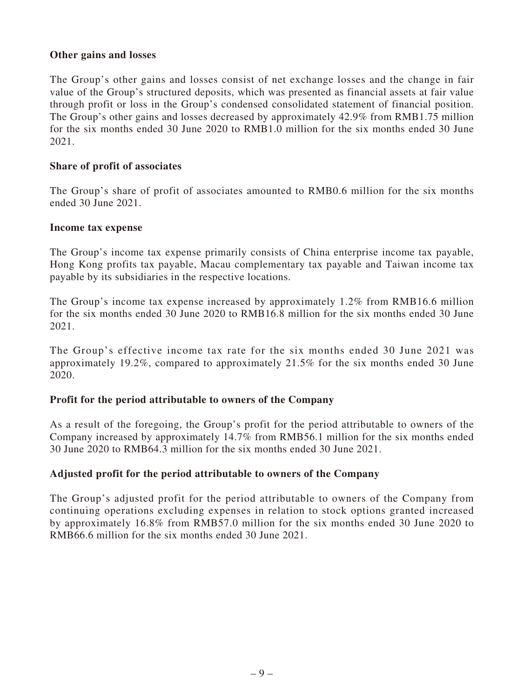## **Other gains and losses**

The Group's other gains and losses consist of net exchange losses and the change in fair value of the Group's structured deposits, which was presented as financial assets at fair value through profit or loss in the Group's condensed consolidated statement of financial position. The Group's other gains and losses decreased by approximately 42.9% from RMB1.75 million for the six months ended 30 June 2020 to RMB1.0 million for the six months ended 30 June 2021.

## **Share of profit of associates**

The Group's share of profit of associates amounted to RMB0.6 million for the six months ended 30 June 2021.

### **Income tax expense**

The Group's income tax expense primarily consists of China enterprise income tax payable, Hong Kong profits tax payable, Macau complementary tax payable and Taiwan income tax payable by its subsidiaries in the respective locations.

The Group's income tax expense increased by approximately 1.2% from RMB16.6 million for the six months ended 30 June 2020 to RMB16.8 million for the six months ended 30 June 2021.

The Group's effective income tax rate for the six months ended 30 June 2021 was approximately 19.2%, compared to approximately 21.5% for the six months ended 30 June 2020.

## **Profit for the period attributable to owners of the Company**

As a result of the foregoing, the Group's profit for the period attributable to owners of the Company increased by approximately 14.7% from RMB56.1 million for the six months ended 30 June 2020 to RMB64.3 million for the six months ended 30 June 2021.

## **Adjusted profit for the period attributable to owners of the Company**

The Group's adjusted profit for the period attributable to owners of the Company from continuing operations excluding expenses in relation to stock options granted increased by approximately 16.8% from RMB57.0 million for the six months ended 30 June 2020 to RMB66.6 million for the six months ended 30 June 2021.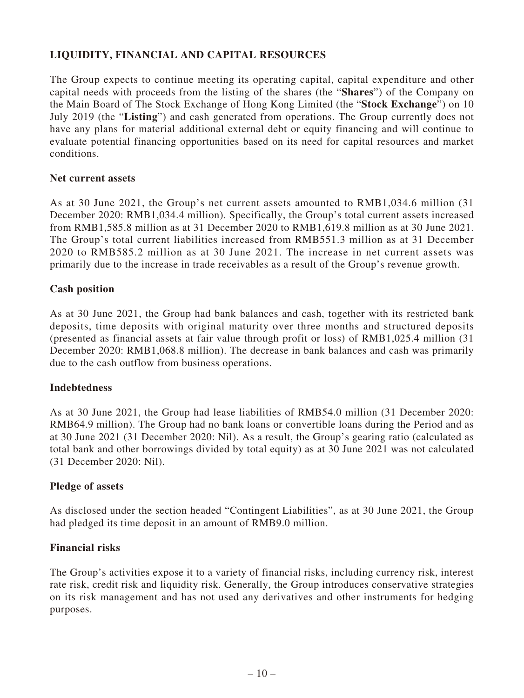## **LIQUIDITY, FINANCIAL AND CAPITAL RESOURCES**

The Group expects to continue meeting its operating capital, capital expenditure and other capital needs with proceeds from the listing of the shares (the "**Shares**") of the Company on the Main Board of The Stock Exchange of Hong Kong Limited (the "**Stock Exchange**") on 10 July 2019 (the "**Listing**") and cash generated from operations. The Group currently does not have any plans for material additional external debt or equity financing and will continue to evaluate potential financing opportunities based on its need for capital resources and market conditions.

## **Net current assets**

As at 30 June 2021, the Group's net current assets amounted to RMB1,034.6 million (31 December 2020: RMB1,034.4 million). Specifically, the Group's total current assets increased from RMB1,585.8 million as at 31 December 2020 to RMB1,619.8 million as at 30 June 2021. The Group's total current liabilities increased from RMB551.3 million as at 31 December 2020 to RMB585.2 million as at 30 June 2021. The increase in net current assets was primarily due to the increase in trade receivables as a result of the Group's revenue growth.

## **Cash position**

As at 30 June 2021, the Group had bank balances and cash, together with its restricted bank deposits, time deposits with original maturity over three months and structured deposits (presented as financial assets at fair value through profit or loss) of RMB1,025.4 million (31 December 2020: RMB1,068.8 million). The decrease in bank balances and cash was primarily due to the cash outflow from business operations.

### **Indebtedness**

As at 30 June 2021, the Group had lease liabilities of RMB54.0 million (31 December 2020: RMB64.9 million). The Group had no bank loans or convertible loans during the Period and as at 30 June 2021 (31 December 2020: Nil). As a result, the Group's gearing ratio (calculated as total bank and other borrowings divided by total equity) as at 30 June 2021 was not calculated (31 December 2020: Nil).

### **Pledge of assets**

As disclosed under the section headed "Contingent Liabilities", as at 30 June 2021, the Group had pledged its time deposit in an amount of RMB9.0 million.

### **Financial risks**

The Group's activities expose it to a variety of financial risks, including currency risk, interest rate risk, credit risk and liquidity risk. Generally, the Group introduces conservative strategies on its risk management and has not used any derivatives and other instruments for hedging purposes.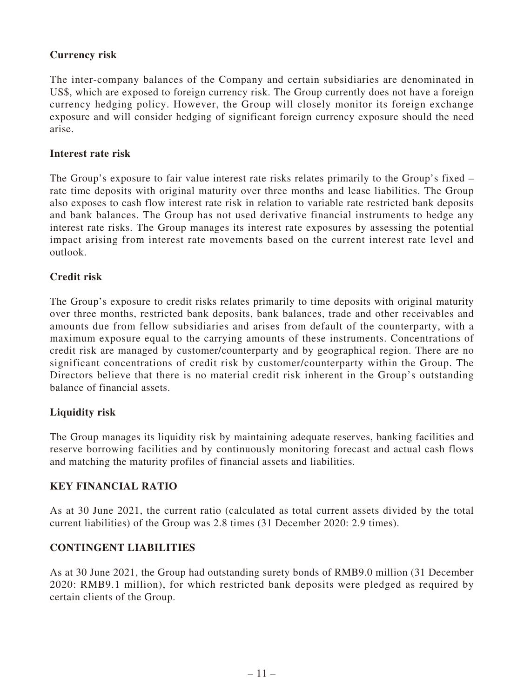## **Currency risk**

The inter-company balances of the Company and certain subsidiaries are denominated in US\$, which are exposed to foreign currency risk. The Group currently does not have a foreign currency hedging policy. However, the Group will closely monitor its foreign exchange exposure and will consider hedging of significant foreign currency exposure should the need arise.

## **Interest rate risk**

The Group's exposure to fair value interest rate risks relates primarily to the Group's fixed – rate time deposits with original maturity over three months and lease liabilities. The Group also exposes to cash flow interest rate risk in relation to variable rate restricted bank deposits and bank balances. The Group has not used derivative financial instruments to hedge any interest rate risks. The Group manages its interest rate exposures by assessing the potential impact arising from interest rate movements based on the current interest rate level and outlook.

## **Credit risk**

The Group's exposure to credit risks relates primarily to time deposits with original maturity over three months, restricted bank deposits, bank balances, trade and other receivables and amounts due from fellow subsidiaries and arises from default of the counterparty, with a maximum exposure equal to the carrying amounts of these instruments. Concentrations of credit risk are managed by customer/counterparty and by geographical region. There are no significant concentrations of credit risk by customer/counterparty within the Group. The Directors believe that there is no material credit risk inherent in the Group's outstanding balance of financial assets.

## **Liquidity risk**

The Group manages its liquidity risk by maintaining adequate reserves, banking facilities and reserve borrowing facilities and by continuously monitoring forecast and actual cash flows and matching the maturity profiles of financial assets and liabilities.

## **KEY FINANCIAL RATIO**

As at 30 June 2021, the current ratio (calculated as total current assets divided by the total current liabilities) of the Group was 2.8 times (31 December 2020: 2.9 times).

## **CONTINGENT LIABILITIES**

As at 30 June 2021, the Group had outstanding surety bonds of RMB9.0 million (31 December 2020: RMB9.1 million), for which restricted bank deposits were pledged as required by certain clients of the Group.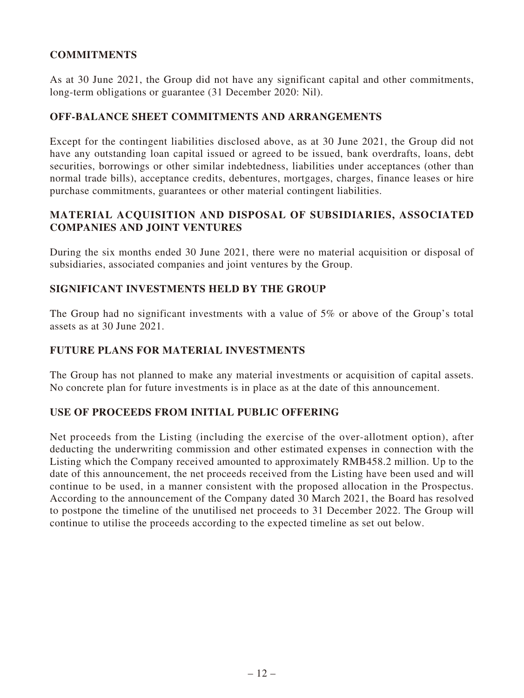## **COMMITMENTS**

As at 30 June 2021, the Group did not have any significant capital and other commitments, long-term obligations or guarantee (31 December 2020: Nil).

## **OFF-BALANCE SHEET COMMITMENTS AND ARRANGEMENTS**

Except for the contingent liabilities disclosed above, as at 30 June 2021, the Group did not have any outstanding loan capital issued or agreed to be issued, bank overdrafts, loans, debt securities, borrowings or other similar indebtedness, liabilities under acceptances (other than normal trade bills), acceptance credits, debentures, mortgages, charges, finance leases or hire purchase commitments, guarantees or other material contingent liabilities.

## **MATERIAL ACQUISITION AND DISPOSAL OF SUBSIDIARIES, ASSOCIATED COMPANIES AND JOINT VENTURES**

During the six months ended 30 June 2021, there were no material acquisition or disposal of subsidiaries, associated companies and joint ventures by the Group.

## **SIGNIFICANT INVESTMENTS HELD BY THE GROUP**

The Group had no significant investments with a value of 5% or above of the Group's total assets as at 30 June 2021.

## **FUTURE PLANS FOR MATERIAL INVESTMENTS**

The Group has not planned to make any material investments or acquisition of capital assets. No concrete plan for future investments is in place as at the date of this announcement.

### **USE OF PROCEEDS FROM INITIAL PUBLIC OFFERING**

Net proceeds from the Listing (including the exercise of the over-allotment option), after deducting the underwriting commission and other estimated expenses in connection with the Listing which the Company received amounted to approximately RMB458.2 million. Up to the date of this announcement, the net proceeds received from the Listing have been used and will continue to be used, in a manner consistent with the proposed allocation in the Prospectus. According to the announcement of the Company dated 30 March 2021, the Board has resolved to postpone the timeline of the unutilised net proceeds to 31 December 2022. The Group will continue to utilise the proceeds according to the expected timeline as set out below.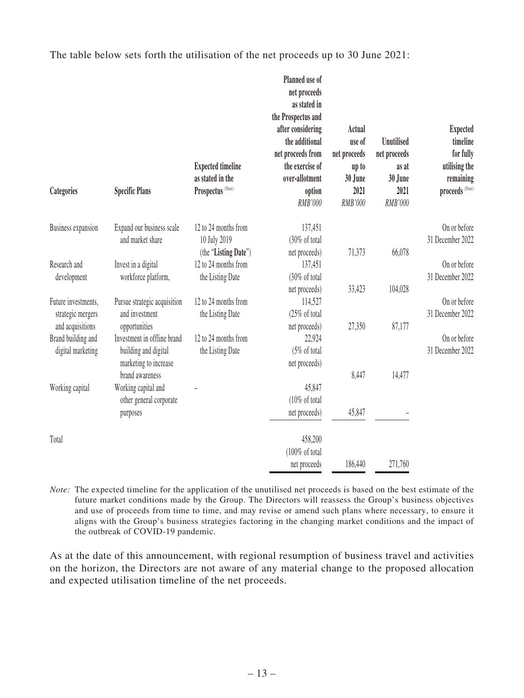The table below sets forth the utilisation of the net proceeds up to 30 June 2021:

| Categories                | <b>Specific Plans</b>        | <b>Expected timeline</b><br>as stated in the<br>Prospectus <sup>(Note)</sup> | Planned use of<br>net proceeds<br>as stated in<br>the Prospectus and<br>after considering<br>the additional<br>net proceeds from<br>the exercise of<br>over-allotment<br>option<br>RMB'000 | Actual<br>use of<br>net proceeds<br>up to<br>30 June<br>2021<br>RMB'000 | <b>Unutilised</b><br>net proceeds<br>as at<br>30 June<br>2021<br>RMB'000 | <b>Expected</b><br>timeline<br>for fully<br>utilising the<br>remaining<br>proceeds (Note) |
|---------------------------|------------------------------|------------------------------------------------------------------------------|--------------------------------------------------------------------------------------------------------------------------------------------------------------------------------------------|-------------------------------------------------------------------------|--------------------------------------------------------------------------|-------------------------------------------------------------------------------------------|
| <b>Business expansion</b> | Expand our business scale    | 12 to 24 months from                                                         | 137,451                                                                                                                                                                                    |                                                                         |                                                                          | On or before                                                                              |
|                           | and market share             | 10 July 2019                                                                 | (30% of total                                                                                                                                                                              |                                                                         |                                                                          | 31 December 2022                                                                          |
|                           |                              | (the "Listing Date")                                                         | net proceeds)                                                                                                                                                                              | 71,373                                                                  | 66,078                                                                   |                                                                                           |
| Research and              | Invest in a digital          | 12 to 24 months from                                                         | 137,451                                                                                                                                                                                    |                                                                         |                                                                          | On or before                                                                              |
| development               | workforce platform,          | the Listing Date                                                             | (30% of total                                                                                                                                                                              |                                                                         |                                                                          | 31 December 2022                                                                          |
| Future investments,       | Pursue strategic acquisition | 12 to 24 months from                                                         | net proceeds)<br>114,527                                                                                                                                                                   | 33,423                                                                  | 104,028                                                                  | On or before                                                                              |
| strategic mergers         | and investment               | the Listing Date                                                             | (25% of total                                                                                                                                                                              |                                                                         |                                                                          | 31 December 2022                                                                          |
| and acquisitions          | opportunities                |                                                                              | net proceeds)                                                                                                                                                                              | 27,350                                                                  | 87,177                                                                   |                                                                                           |
| Brand building and        | Investment in offline brand  | 12 to 24 months from                                                         | 22,924                                                                                                                                                                                     |                                                                         |                                                                          | On or before                                                                              |
| digital marketing         | building and digital         | the Listing Date                                                             | (5% of total                                                                                                                                                                               |                                                                         |                                                                          | 31 December 2022                                                                          |
|                           | marketing to increase        |                                                                              | net proceeds)                                                                                                                                                                              |                                                                         |                                                                          |                                                                                           |
|                           | brand awareness              |                                                                              |                                                                                                                                                                                            | 8,447                                                                   | 14,477                                                                   |                                                                                           |
| Working capital           | Working capital and          |                                                                              | 45,847                                                                                                                                                                                     |                                                                         |                                                                          |                                                                                           |
|                           | other general corporate      |                                                                              | (10% of total                                                                                                                                                                              |                                                                         |                                                                          |                                                                                           |
|                           | purposes                     |                                                                              | net proceeds)                                                                                                                                                                              | 45,847                                                                  |                                                                          |                                                                                           |
| Total                     |                              |                                                                              | 458,200                                                                                                                                                                                    |                                                                         |                                                                          |                                                                                           |
|                           |                              |                                                                              | (100% of total                                                                                                                                                                             |                                                                         |                                                                          |                                                                                           |
|                           |                              |                                                                              | net proceeds                                                                                                                                                                               | 186,440                                                                 | 271,760                                                                  |                                                                                           |

*Note:* The expected timeline for the application of the unutilised net proceeds is based on the best estimate of the future market conditions made by the Group. The Directors will reassess the Group's business objectives and use of proceeds from time to time, and may revise or amend such plans where necessary, to ensure it aligns with the Group's business strategies factoring in the changing market conditions and the impact of the outbreak of COVID-19 pandemic.

As at the date of this announcement, with regional resumption of business travel and activities on the horizon, the Directors are not aware of any material change to the proposed allocation and expected utilisation timeline of the net proceeds.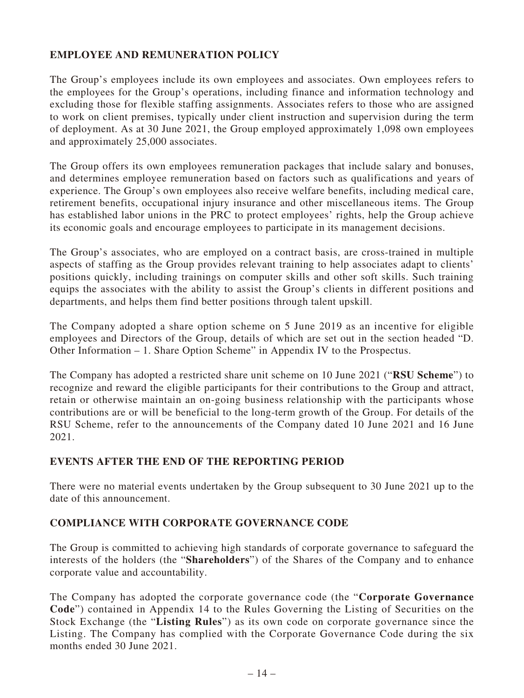## **EMPLOYEE AND REMUNERATION POLICY**

The Group's employees include its own employees and associates. Own employees refers to the employees for the Group's operations, including finance and information technology and excluding those for flexible staffing assignments. Associates refers to those who are assigned to work on client premises, typically under client instruction and supervision during the term of deployment. As at 30 June 2021, the Group employed approximately 1,098 own employees and approximately 25,000 associates.

The Group offers its own employees remuneration packages that include salary and bonuses, and determines employee remuneration based on factors such as qualifications and years of experience. The Group's own employees also receive welfare benefits, including medical care, retirement benefits, occupational injury insurance and other miscellaneous items. The Group has established labor unions in the PRC to protect employees' rights, help the Group achieve its economic goals and encourage employees to participate in its management decisions.

The Group's associates, who are employed on a contract basis, are cross-trained in multiple aspects of staffing as the Group provides relevant training to help associates adapt to clients' positions quickly, including trainings on computer skills and other soft skills. Such training equips the associates with the ability to assist the Group's clients in different positions and departments, and helps them find better positions through talent upskill.

The Company adopted a share option scheme on 5 June 2019 as an incentive for eligible employees and Directors of the Group, details of which are set out in the section headed "D. Other Information – 1. Share Option Scheme" in Appendix IV to the Prospectus.

The Company has adopted a restricted share unit scheme on 10 June 2021 ("**RSU Scheme**") to recognize and reward the eligible participants for their contributions to the Group and attract, retain or otherwise maintain an on-going business relationship with the participants whose contributions are or will be beneficial to the long-term growth of the Group. For details of the RSU Scheme, refer to the announcements of the Company dated 10 June 2021 and 16 June 2021.

## **EVENTS AFTER THE END OF THE REPORTING PERIOD**

There were no material events undertaken by the Group subsequent to 30 June 2021 up to the date of this announcement.

## **COMPLIANCE WITH CORPORATE GOVERNANCE CODE**

The Group is committed to achieving high standards of corporate governance to safeguard the interests of the holders (the "**Shareholders**") of the Shares of the Company and to enhance corporate value and accountability.

The Company has adopted the corporate governance code (the "**Corporate Governance Code**") contained in Appendix 14 to the Rules Governing the Listing of Securities on the Stock Exchange (the "**Listing Rules**") as its own code on corporate governance since the Listing. The Company has complied with the Corporate Governance Code during the six months ended 30 June 2021.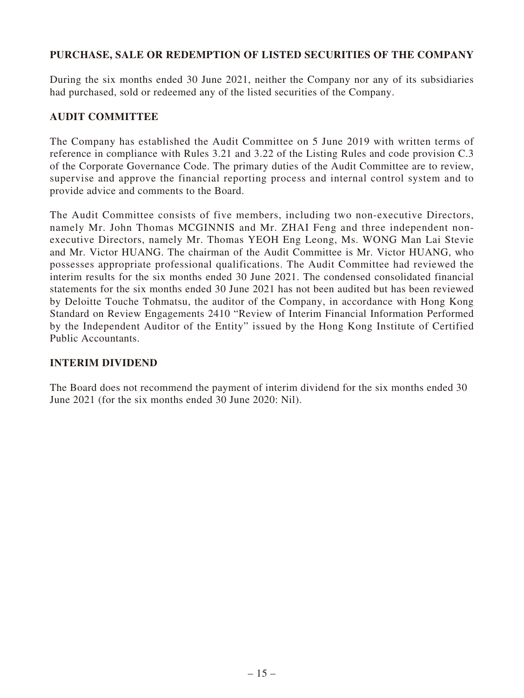## **PURCHASE, SALE OR REDEMPTION OF LISTED SECURITIES OF THE COMPANY**

During the six months ended 30 June 2021, neither the Company nor any of its subsidiaries had purchased, sold or redeemed any of the listed securities of the Company.

## **AUDIT COMMITTEE**

The Company has established the Audit Committee on 5 June 2019 with written terms of reference in compliance with Rules 3.21 and 3.22 of the Listing Rules and code provision C.3 of the Corporate Governance Code. The primary duties of the Audit Committee are to review, supervise and approve the financial reporting process and internal control system and to provide advice and comments to the Board.

The Audit Committee consists of five members, including two non-executive Directors, namely Mr. John Thomas MCGINNIS and Mr. ZHAI Feng and three independent nonexecutive Directors, namely Mr. Thomas YEOH Eng Leong, Ms. WONG Man Lai Stevie and Mr. Victor HUANG. The chairman of the Audit Committee is Mr. Victor HUANG, who possesses appropriate professional qualifications. The Audit Committee had reviewed the interim results for the six months ended 30 June 2021. The condensed consolidated financial statements for the six months ended 30 June 2021 has not been audited but has been reviewed by Deloitte Touche Tohmatsu, the auditor of the Company, in accordance with Hong Kong Standard on Review Engagements 2410 "Review of Interim Financial Information Performed by the Independent Auditor of the Entity" issued by the Hong Kong Institute of Certified Public Accountants.

## **INTERIM DIVIDEND**

The Board does not recommend the payment of interim dividend for the six months ended 30 June 2021 (for the six months ended 30 June 2020: Nil).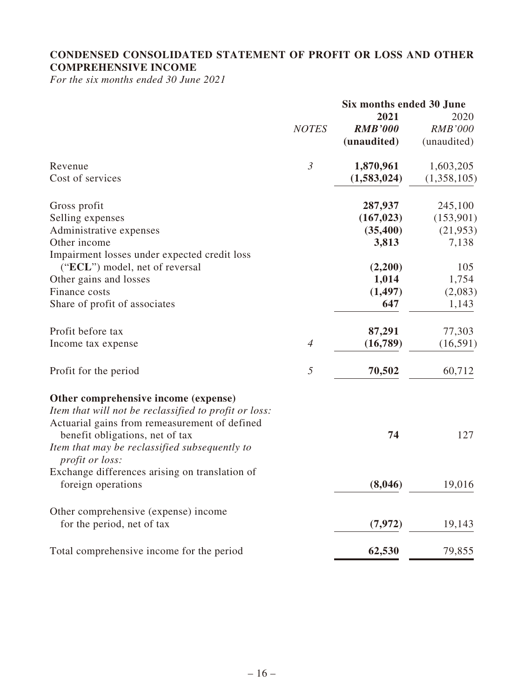## **CONDENSED CONSOLIDATED STATEMENT OF PROFIT OR LOSS AND OTHER COMPREHENSIVE INCOME**

*For the six months ended 30 June 2021*

|                                                                  |                | Six months ended 30 June |                |  |
|------------------------------------------------------------------|----------------|--------------------------|----------------|--|
|                                                                  |                | 2021                     | 2020           |  |
|                                                                  | <b>NOTES</b>   | <b>RMB'000</b>           | <b>RMB'000</b> |  |
|                                                                  |                | (unaudited)              | (unaudited)    |  |
| Revenue                                                          | $\mathfrak{Z}$ | 1,870,961                | 1,603,205      |  |
| Cost of services                                                 |                | (1,583,024)              | (1,358,105)    |  |
| Gross profit                                                     |                | 287,937                  | 245,100        |  |
| Selling expenses                                                 |                | (167, 023)               | (153,901)      |  |
| Administrative expenses                                          |                | (35, 400)                | (21, 953)      |  |
| Other income                                                     |                | 3,813                    | 7,138          |  |
| Impairment losses under expected credit loss                     |                |                          |                |  |
| ("ECL") model, net of reversal                                   |                | (2,200)                  | 105            |  |
| Other gains and losses                                           |                | 1,014                    | 1,754          |  |
| Finance costs                                                    |                | (1, 497)                 | (2,083)        |  |
| Share of profit of associates                                    |                | 647                      | 1,143          |  |
| Profit before tax                                                |                | 87,291                   | 77,303         |  |
| Income tax expense                                               | $\overline{4}$ | (16,789)                 | (16, 591)      |  |
| Profit for the period                                            | 5              | 70,502                   | 60,712         |  |
| Other comprehensive income (expense)                             |                |                          |                |  |
| Item that will not be reclassified to profit or loss:            |                |                          |                |  |
| Actuarial gains from remeasurement of defined                    |                |                          |                |  |
| benefit obligations, net of tax                                  |                | 74                       | 127            |  |
| Item that may be reclassified subsequently to<br>profit or loss: |                |                          |                |  |
| Exchange differences arising on translation of                   |                |                          |                |  |
| foreign operations                                               |                | (8,046)                  | 19,016         |  |
| Other comprehensive (expense) income                             |                |                          |                |  |
| for the period, net of tax                                       |                | (7, 972)                 | 19,143         |  |
| Total comprehensive income for the period                        |                | 62,530                   | 79,855         |  |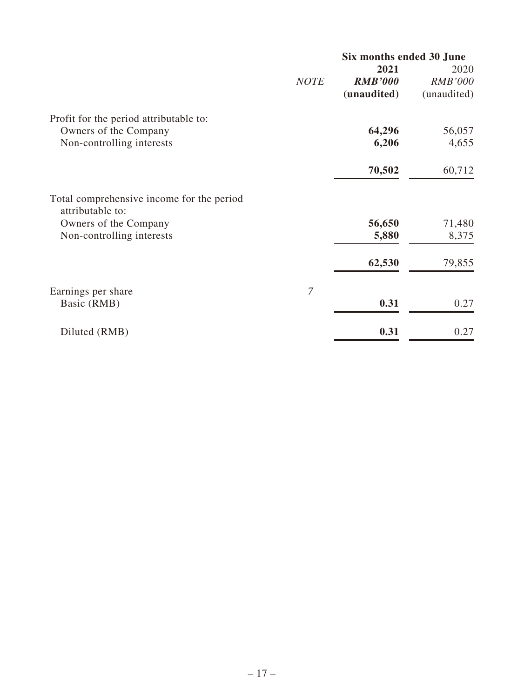|                                                               |                | Six months ended 30 June |                |
|---------------------------------------------------------------|----------------|--------------------------|----------------|
|                                                               |                | 2021                     | 2020           |
|                                                               | <b>NOTE</b>    | <b>RMB'000</b>           | <b>RMB'000</b> |
|                                                               |                | (unaudited)              | (unaudited)    |
| Profit for the period attributable to:                        |                |                          |                |
| Owners of the Company                                         |                | 64,296                   | 56,057         |
| Non-controlling interests                                     |                | 6,206                    | 4,655          |
|                                                               |                | 70,502                   | 60,712         |
| Total comprehensive income for the period<br>attributable to: |                |                          |                |
| Owners of the Company                                         |                | 56,650                   | 71,480         |
| Non-controlling interests                                     |                | 5,880                    | 8,375          |
|                                                               |                | 62,530                   | 79,855         |
| Earnings per share                                            | $\overline{7}$ |                          |                |
| Basic (RMB)                                                   |                | 0.31                     | 0.27           |
| Diluted (RMB)                                                 |                | 0.31                     | 0.27           |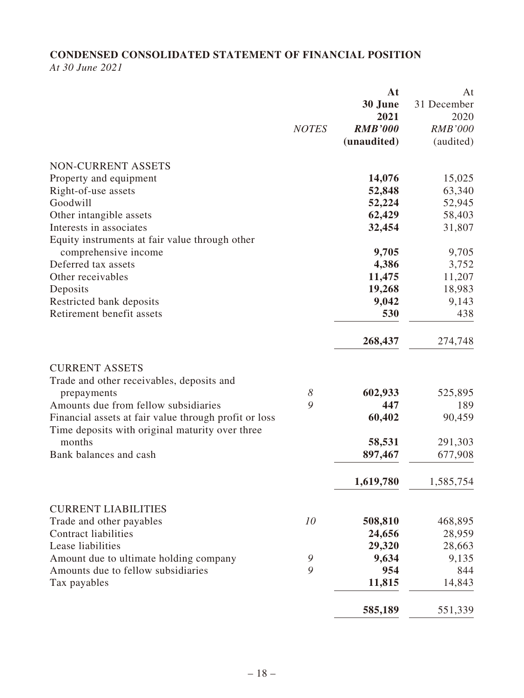# **CONDENSED CONSOLIDATED STATEMENT OF FINANCIAL POSITION**

*At 30 June 2021*

|                                                       |                       | At                | At             |
|-------------------------------------------------------|-----------------------|-------------------|----------------|
|                                                       |                       | 30 June           | 31 December    |
|                                                       |                       | 2021              | 2020           |
|                                                       | <b>NOTES</b>          | <b>RMB'000</b>    | <b>RMB'000</b> |
|                                                       |                       | (unaudited)       | (audited)      |
|                                                       |                       |                   |                |
| <b>NON-CURRENT ASSETS</b>                             |                       |                   |                |
| Property and equipment                                |                       | 14,076            | 15,025         |
| Right-of-use assets                                   |                       | 52,848            | 63,340         |
| Goodwill                                              |                       | 52,224            | 52,945         |
| Other intangible assets                               |                       | 62,429            | 58,403         |
| Interests in associates                               |                       | 32,454            | 31,807         |
| Equity instruments at fair value through other        |                       |                   |                |
| comprehensive income                                  |                       | 9,705             | 9,705          |
| Deferred tax assets                                   |                       | 4,386             | 3,752          |
| Other receivables                                     |                       | 11,475            | 11,207         |
| Deposits                                              |                       | 19,268            | 18,983         |
| Restricted bank deposits                              |                       | 9,042             | 9,143          |
| Retirement benefit assets                             |                       | 530               | 438            |
|                                                       |                       |                   |                |
|                                                       |                       | 268,437           | 274,748        |
| <b>CURRENT ASSETS</b>                                 |                       |                   |                |
| Trade and other receivables, deposits and             |                       |                   |                |
|                                                       | $\boldsymbol{\delta}$ | 602,933           | 525,895        |
| prepayments<br>Amounts due from fellow subsidiaries   | 9                     | 447               | 189            |
| Financial assets at fair value through profit or loss |                       | 60,402            | 90,459         |
|                                                       |                       |                   |                |
| Time deposits with original maturity over three       |                       |                   |                |
| months                                                |                       | 58,531            | 291,303        |
| Bank balances and cash                                |                       | 897,467           | 677,908        |
|                                                       |                       | 1,619,780         | 1,585,754      |
| <b>CURRENT LIABILITIES</b>                            |                       |                   |                |
|                                                       | 10                    |                   |                |
| Trade and other payables                              |                       | 508,810<br>24,656 | 468,895        |
| <b>Contract liabilities</b><br>Lease liabilities      |                       |                   | 28,959         |
|                                                       |                       | 29,320            | 28,663         |
| Amount due to ultimate holding company                | 9                     | 9,634             | 9,135          |
| Amounts due to fellow subsidiaries                    | 9                     | 954               | 844            |
| Tax payables                                          |                       | 11,815            | 14,843         |
|                                                       |                       | 585,189           | 551,339        |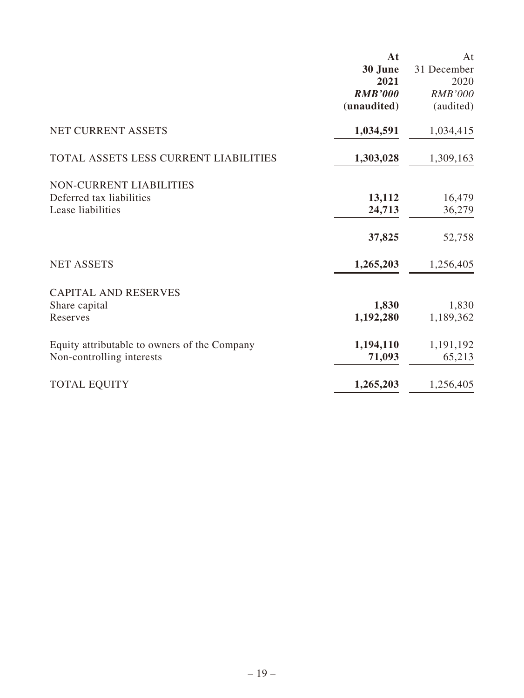|                                              | At             | At             |
|----------------------------------------------|----------------|----------------|
|                                              | 30 June        | 31 December    |
|                                              | 2021           | 2020           |
|                                              | <b>RMB'000</b> | <b>RMB'000</b> |
|                                              | (unaudited)    | (audited)      |
| <b>NET CURRENT ASSETS</b>                    | 1,034,591      | 1,034,415      |
| TOTAL ASSETS LESS CURRENT LIABILITIES        | 1,303,028      | 1,309,163      |
| <b>NON-CURRENT LIABILITIES</b>               |                |                |
| Deferred tax liabilities                     | 13,112         | 16,479         |
| Lease liabilities                            | 24,713         | 36,279         |
|                                              | 37,825         | 52,758         |
| <b>NET ASSETS</b>                            | 1,265,203      | 1,256,405      |
| <b>CAPITAL AND RESERVES</b>                  |                |                |
| Share capital                                | 1,830          | 1,830          |
| Reserves                                     | 1,192,280      | 1,189,362      |
| Equity attributable to owners of the Company | 1,194,110      | 1,191,192      |
| Non-controlling interests                    | 71,093         | 65,213         |
| <b>TOTAL EQUITY</b>                          | 1,265,203      | 1,256,405      |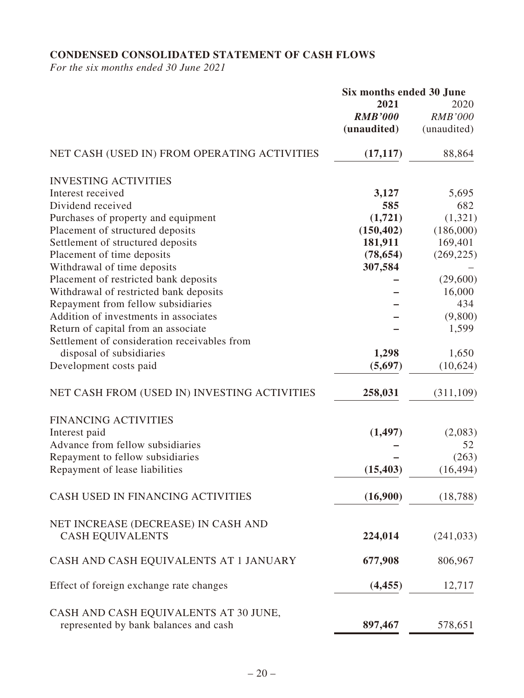## **CONDENSED CONSOLIDATED STATEMENT OF CASH FLOWS**

*For the six months ended 30 June 2021*

|                                              | Six months ended 30 June |                |
|----------------------------------------------|--------------------------|----------------|
|                                              | 2021                     | 2020           |
|                                              | <b>RMB'000</b>           | <b>RMB'000</b> |
|                                              | (unaudited)              | (unaudited)    |
| NET CASH (USED IN) FROM OPERATING ACTIVITIES | (17, 117)                | 88,864         |
| <b>INVESTING ACTIVITIES</b>                  |                          |                |
| Interest received                            | 3,127                    | 5,695          |
| Dividend received                            | 585                      | 682            |
| Purchases of property and equipment          | (1,721)                  | (1,321)        |
| Placement of structured deposits             | (150, 402)               | (186,000)      |
| Settlement of structured deposits            | 181,911                  | 169,401        |
| Placement of time deposits                   | (78, 654)                | (269, 225)     |
| Withdrawal of time deposits                  | 307,584                  |                |
| Placement of restricted bank deposits        |                          | (29,600)       |
| Withdrawal of restricted bank deposits       |                          | 16,000         |
| Repayment from fellow subsidiaries           |                          | 434            |
| Addition of investments in associates        |                          | (9,800)        |
| Return of capital from an associate          |                          | 1,599          |
| Settlement of consideration receivables from |                          |                |
| disposal of subsidiaries                     | 1,298                    | 1,650          |
| Development costs paid                       | (5,697)                  | (10,624)       |
| NET CASH FROM (USED IN) INVESTING ACTIVITIES | 258,031                  | (311, 109)     |
| <b>FINANCING ACTIVITIES</b>                  |                          |                |
| Interest paid                                | (1, 497)                 | (2,083)        |
| Advance from fellow subsidiaries             |                          | 52             |
| Repayment to fellow subsidiaries             |                          | (263)          |
| Repayment of lease liabilities               | (15, 403)                | (16, 494)      |
| CASH USED IN FINANCING ACTIVITIES            | (16,900)                 | (18, 788)      |
| NET INCREASE (DECREASE) IN CASH AND          |                          |                |
| <b>CASH EQUIVALENTS</b>                      | 224,014                  | (241, 033)     |
| CASH AND CASH EQUIVALENTS AT 1 JANUARY       | 677,908                  | 806,967        |
| Effect of foreign exchange rate changes      | (4, 455)                 | 12,717         |
| CASH AND CASH EQUIVALENTS AT 30 JUNE,        |                          |                |
| represented by bank balances and cash        | 897,467                  | 578,651        |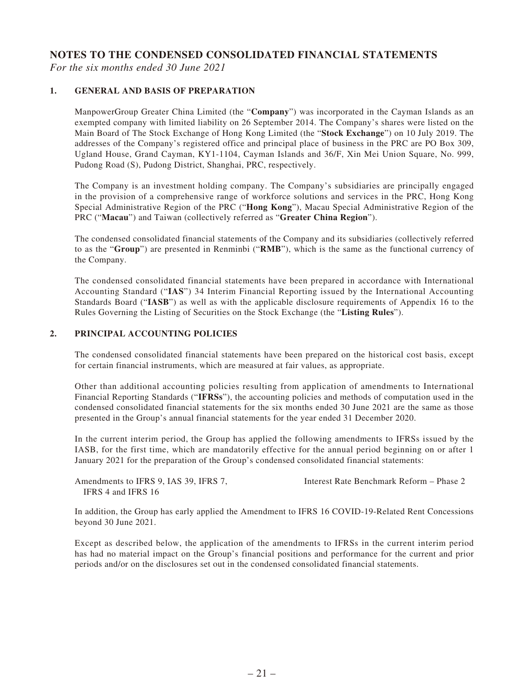## **NOTES TO THE CONDENSED CONSOLIDATED FINANCIAL STATEMENTS**

*For the six months ended 30 June 2021*

#### **1. GENERAL AND BASIS OF PREPARATION**

ManpowerGroup Greater China Limited (the "**Company**") was incorporated in the Cayman Islands as an exempted company with limited liability on 26 September 2014. The Company's shares were listed on the Main Board of The Stock Exchange of Hong Kong Limited (the "**Stock Exchange**") on 10 July 2019. The addresses of the Company's registered office and principal place of business in the PRC are PO Box 309, Ugland House, Grand Cayman, KY1-1104, Cayman Islands and 36/F, Xin Mei Union Square, No. 999, Pudong Road (S), Pudong District, Shanghai, PRC, respectively.

The Company is an investment holding company. The Company's subsidiaries are principally engaged in the provision of a comprehensive range of workforce solutions and services in the PRC, Hong Kong Special Administrative Region of the PRC ("**Hong Kong**"), Macau Special Administrative Region of the PRC ("**Macau**") and Taiwan (collectively referred as "**Greater China Region**").

The condensed consolidated financial statements of the Company and its subsidiaries (collectively referred to as the "**Group**") are presented in Renminbi ("**RMB**"), which is the same as the functional currency of the Company.

The condensed consolidated financial statements have been prepared in accordance with International Accounting Standard ("**IAS**") 34 Interim Financial Reporting issued by the International Accounting Standards Board ("**IASB**") as well as with the applicable disclosure requirements of Appendix 16 to the Rules Governing the Listing of Securities on the Stock Exchange (the "**Listing Rules**").

### **2. PRINCIPAL ACCOUNTING POLICIES**

The condensed consolidated financial statements have been prepared on the historical cost basis, except for certain financial instruments, which are measured at fair values, as appropriate.

Other than additional accounting policies resulting from application of amendments to International Financial Reporting Standards ("**IFRSs**"), the accounting policies and methods of computation used in the condensed consolidated financial statements for the six months ended 30 June 2021 are the same as those presented in the Group's annual financial statements for the year ended 31 December 2020.

In the current interim period, the Group has applied the following amendments to IFRSs issued by the IASB, for the first time, which are mandatorily effective for the annual period beginning on or after 1 January 2021 for the preparation of the Group's condensed consolidated financial statements:

Amendments to IFRS 9, IAS 39, IFRS 7, IFRS 4 and IFRS 16

Interest Rate Benchmark Reform – Phase 2

In addition, the Group has early applied the Amendment to IFRS 16 COVID-19-Related Rent Concessions beyond 30 June 2021.

Except as described below, the application of the amendments to IFRSs in the current interim period has had no material impact on the Group's financial positions and performance for the current and prior periods and/or on the disclosures set out in the condensed consolidated financial statements.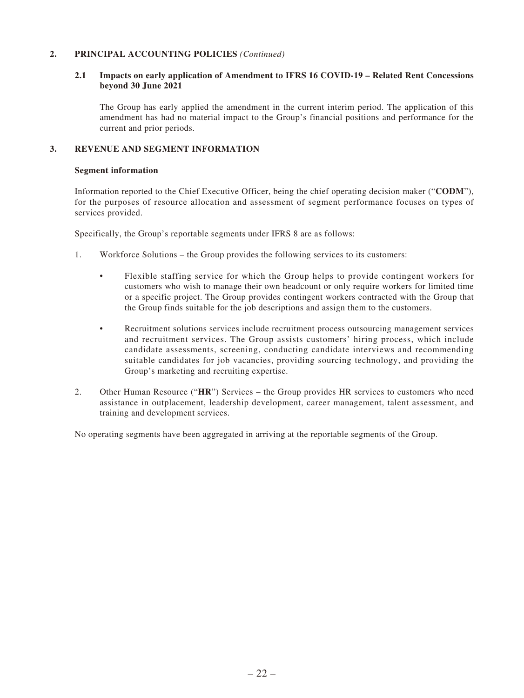#### **2. PRINCIPAL ACCOUNTING POLICIES** *(Continued)*

#### **2.1 Impacts on early application of Amendment to IFRS 16 COVID-19 – Related Rent Concessions beyond 30 June 2021**

The Group has early applied the amendment in the current interim period. The application of this amendment has had no material impact to the Group's financial positions and performance for the current and prior periods.

#### **3. REVENUE AND SEGMENT INFORMATION**

#### **Segment information**

Information reported to the Chief Executive Officer, being the chief operating decision maker ("**CODM**"), for the purposes of resource allocation and assessment of segment performance focuses on types of services provided.

Specifically, the Group's reportable segments under IFRS 8 are as follows:

- 1. Workforce Solutions the Group provides the following services to its customers:
	- Flexible staffing service for which the Group helps to provide contingent workers for customers who wish to manage their own headcount or only require workers for limited time or a specific project. The Group provides contingent workers contracted with the Group that the Group finds suitable for the job descriptions and assign them to the customers.
	- Recruitment solutions services include recruitment process outsourcing management services and recruitment services. The Group assists customers' hiring process, which include candidate assessments, screening, conducting candidate interviews and recommending suitable candidates for job vacancies, providing sourcing technology, and providing the Group's marketing and recruiting expertise.
- 2. Other Human Resource ("**HR**") Services the Group provides HR services to customers who need assistance in outplacement, leadership development, career management, talent assessment, and training and development services.

No operating segments have been aggregated in arriving at the reportable segments of the Group.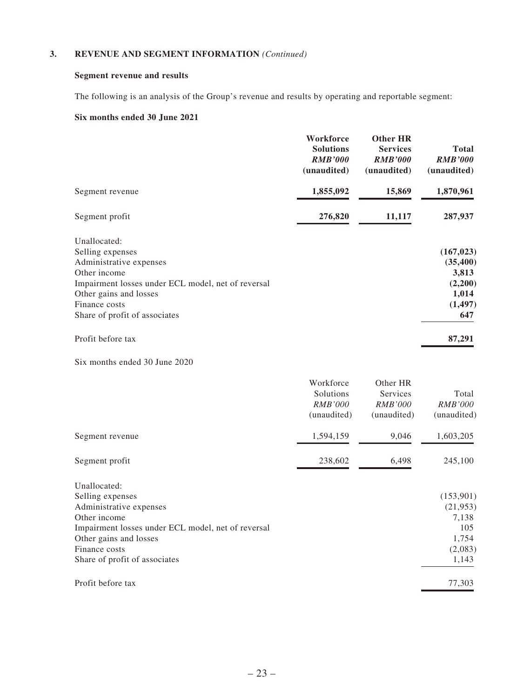### **3. REVENUE AND SEGMENT INFORMATION** *(Continued)*

## **Segment revenue and results**

The following is an analysis of the Group's revenue and results by operating and reportable segment:

## **Six months ended 30 June 2021**

|                                                                                                                                                                                                                                    | Workforce<br><b>Solutions</b><br><b>RMB'000</b><br>(unaudited) | <b>Other HR</b><br><b>Services</b><br><b>RMB'000</b><br>(unaudited) | <b>Total</b><br><b>RMB'000</b><br>(unaudited)                                     |
|------------------------------------------------------------------------------------------------------------------------------------------------------------------------------------------------------------------------------------|----------------------------------------------------------------|---------------------------------------------------------------------|-----------------------------------------------------------------------------------|
| Segment revenue                                                                                                                                                                                                                    | 1,855,092                                                      | 15,869                                                              | 1,870,961                                                                         |
| Segment profit                                                                                                                                                                                                                     | 276,820                                                        | 11,117                                                              | 287,937                                                                           |
| Unallocated:<br>Selling expenses<br>Administrative expenses<br>Other income<br>Impairment losses under ECL model, net of reversal<br>Other gains and losses<br>Finance costs<br>Share of profit of associates<br>Profit before tax |                                                                |                                                                     | (167, 023)<br>(35, 400)<br>3,813<br>(2,200)<br>1,014<br>(1, 497)<br>647<br>87,291 |
| Six months ended 30 June 2020                                                                                                                                                                                                      |                                                                |                                                                     |                                                                                   |
|                                                                                                                                                                                                                                    | Workforce<br>Solutions<br><i>RMB'000</i><br>(unaudited)        | Other HR<br>Services<br><i>RMB'000</i><br>(unaudited)               | Total<br>RMB'000<br>(unaudited)                                                   |
| Segment revenue                                                                                                                                                                                                                    | 1,594,159                                                      | 9,046                                                               | 1,603,205                                                                         |
| Segment profit                                                                                                                                                                                                                     | 238,602                                                        | 6,498                                                               | 245,100                                                                           |
| Unallocated:<br>Selling expenses<br>Administrative expenses<br>Other income<br>Impairment losses under ECL model, net of reversal<br>Other gains and losses<br>Finance costs<br>Share of profit of associates                      |                                                                |                                                                     | (153,901)<br>(21, 953)<br>7,138<br>105<br>1,754<br>(2,083)<br>1,143               |

Profit before tax 77,303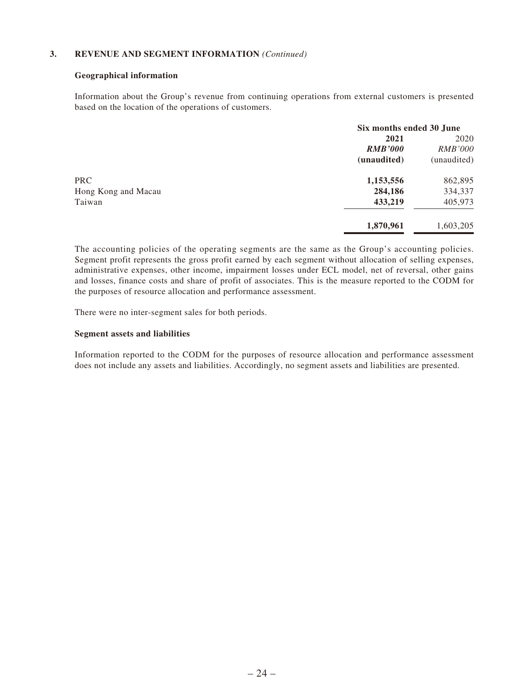#### **3. REVENUE AND SEGMENT INFORMATION** *(Continued)*

#### **Geographical information**

Information about the Group's revenue from continuing operations from external customers is presented based on the location of the operations of customers.

|                     | Six months ended 30 June |                |
|---------------------|--------------------------|----------------|
|                     | 2021                     | 2020           |
|                     | <b>RMB'000</b>           | <b>RMB'000</b> |
|                     | (unaudited)              | (unaudited)    |
| <b>PRC</b>          | 1,153,556                | 862,895        |
| Hong Kong and Macau | 284,186                  | 334,337        |
| Taiwan              | 433,219                  | 405,973        |
|                     | 1,870,961                | 1,603,205      |

The accounting policies of the operating segments are the same as the Group's accounting policies. Segment profit represents the gross profit earned by each segment without allocation of selling expenses, administrative expenses, other income, impairment losses under ECL model, net of reversal, other gains and losses, finance costs and share of profit of associates. This is the measure reported to the CODM for the purposes of resource allocation and performance assessment.

There were no inter-segment sales for both periods.

#### **Segment assets and liabilities**

Information reported to the CODM for the purposes of resource allocation and performance assessment does not include any assets and liabilities. Accordingly, no segment assets and liabilities are presented.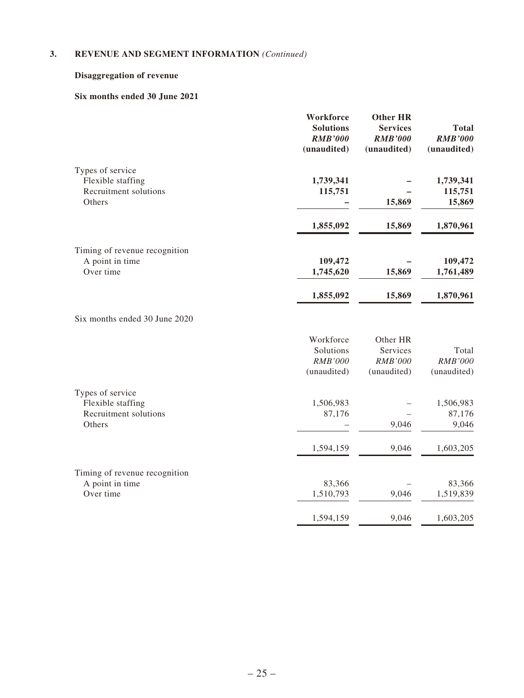## **3. REVENUE AND SEGMENT INFORMATION** *(Continued)*

## **Disaggregation of revenue**

## **Six months ended 30 June 2021**

|                                       | Workforce<br><b>Solutions</b><br><b>RMB'000</b><br>(unaudited) | <b>Other HR</b><br><b>Services</b><br><b>RMB'000</b><br>(unaudited) | <b>Total</b><br><b>RMB'000</b><br>(unaudited) |
|---------------------------------------|----------------------------------------------------------------|---------------------------------------------------------------------|-----------------------------------------------|
| Types of service                      |                                                                |                                                                     |                                               |
| Flexible staffing                     | 1,739,341                                                      |                                                                     | 1,739,341                                     |
| Recruitment solutions<br>Others       | 115,751                                                        | 15,869                                                              | 115,751<br>15,869                             |
|                                       | 1,855,092                                                      | 15,869                                                              | 1,870,961                                     |
| Timing of revenue recognition         |                                                                |                                                                     |                                               |
| A point in time                       | 109,472                                                        |                                                                     | 109,472                                       |
| Over time                             | 1,745,620                                                      | 15,869                                                              | 1,761,489                                     |
|                                       | 1,855,092                                                      | 15,869                                                              | 1,870,961                                     |
| Six months ended 30 June 2020         |                                                                |                                                                     |                                               |
|                                       | Workforce                                                      | Other HR                                                            |                                               |
|                                       | Solutions                                                      | Services                                                            | Total                                         |
|                                       | <b>RMB'000</b>                                                 | <b>RMB'000</b>                                                      | RMB'000                                       |
|                                       | (unaudited)                                                    | (unaudited)                                                         | (unaudited)                                   |
| Types of service<br>Flexible staffing | 1,506,983                                                      |                                                                     | 1,506,983                                     |
| Recruitment solutions                 | 87,176                                                         |                                                                     | 87,176                                        |
| Others                                |                                                                | 9,046                                                               | 9,046                                         |
|                                       | 1,594,159                                                      | 9,046                                                               | 1,603,205                                     |
| Timing of revenue recognition         |                                                                |                                                                     |                                               |
| A point in time                       | 83,366                                                         |                                                                     | 83,366                                        |
| Over time                             | 1,510,793                                                      | 9,046                                                               | 1,519,839                                     |
|                                       | 1,594,159                                                      | 9,046                                                               | 1,603,205                                     |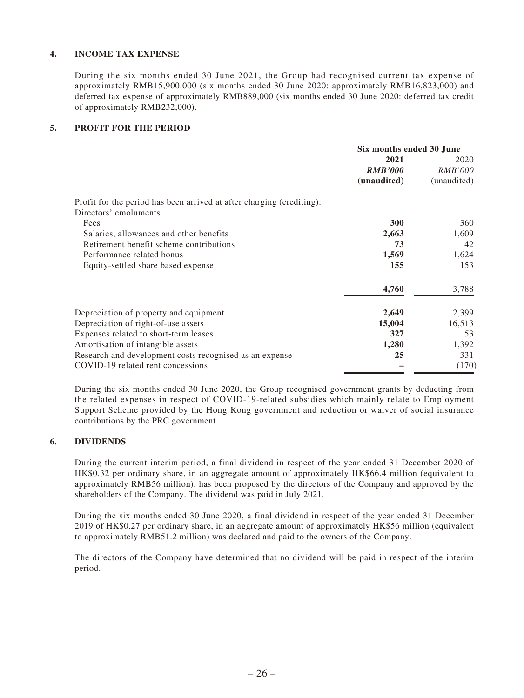### **4. INCOME TAX EXPENSE**

During the six months ended 30 June 2021, the Group had recognised current tax expense of approximately RMB15,900,000 (six months ended 30 June 2020: approximately RMB16,823,000) and deferred tax expense of approximately RMB889,000 (six months ended 30 June 2020: deferred tax credit of approximately RMB232,000).

### **5. PROFIT FOR THE PERIOD**

|                                                                       | Six months ended 30 June |                |
|-----------------------------------------------------------------------|--------------------------|----------------|
|                                                                       | 2021                     | 2020           |
|                                                                       | <b>RMB'000</b>           | <i>RMB'000</i> |
|                                                                       | (unaudited)              | (unaudited)    |
| Profit for the period has been arrived at after charging (crediting): |                          |                |
| Directors' emoluments                                                 |                          |                |
| Fees                                                                  | 300                      | 360            |
| Salaries, allowances and other benefits                               | 2,663                    | 1,609          |
| Retirement benefit scheme contributions                               | 73                       | 42             |
| Performance related bonus                                             | 1,569                    | 1,624          |
| Equity-settled share based expense                                    | 155                      | 153            |
|                                                                       | 4,760                    | 3,788          |
| Depreciation of property and equipment                                | 2,649                    | 2,399          |
| Depreciation of right-of-use assets                                   | 15,004                   | 16,513         |
| Expenses related to short-term leases                                 | 327                      | 53             |
| Amortisation of intangible assets                                     | 1,280                    | 1,392          |
| Research and development costs recognised as an expense               | 25                       | 331            |
| COVID-19 related rent concessions                                     |                          | (170)          |

During the six months ended 30 June 2020, the Group recognised government grants by deducting from the related expenses in respect of COVID-19-related subsidies which mainly relate to Employment Support Scheme provided by the Hong Kong government and reduction or waiver of social insurance contributions by the PRC government.

### **6. DIVIDENDS**

During the current interim period, a final dividend in respect of the year ended 31 December 2020 of HK\$0.32 per ordinary share, in an aggregate amount of approximately HK\$66.4 million (equivalent to approximately RMB56 million), has been proposed by the directors of the Company and approved by the shareholders of the Company. The dividend was paid in July 2021.

During the six months ended 30 June 2020, a final dividend in respect of the year ended 31 December 2019 of HK\$0.27 per ordinary share, in an aggregate amount of approximately HK\$56 million (equivalent to approximately RMB51.2 million) was declared and paid to the owners of the Company.

The directors of the Company have determined that no dividend will be paid in respect of the interim period.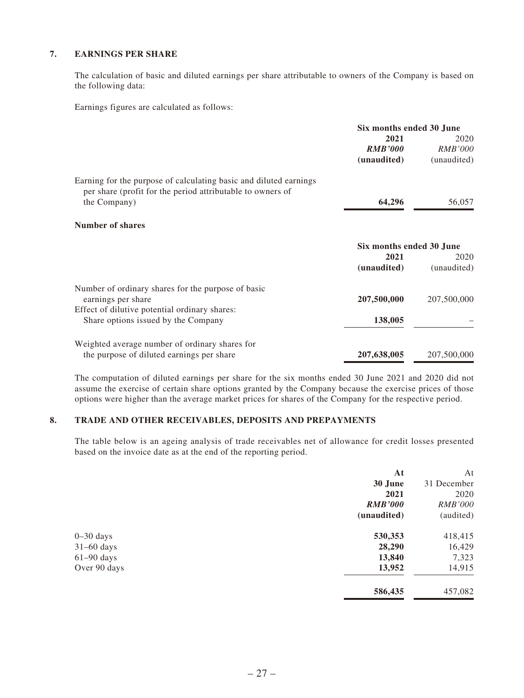### **7. EARNINGS PER SHARE**

The calculation of basic and diluted earnings per share attributable to owners of the Company is based on the following data:

Earnings figures are calculated as follows:

|                                                                                                                                 | Six months ended 30 June |                |
|---------------------------------------------------------------------------------------------------------------------------------|--------------------------|----------------|
|                                                                                                                                 | 2021                     | 2020           |
|                                                                                                                                 | <b>RMB'000</b>           | <i>RMB'000</i> |
|                                                                                                                                 | (unaudited)              | (unaudited)    |
| Earning for the purpose of calculating basic and diluted earnings<br>per share (profit for the period attributable to owners of |                          |                |
| the Company)                                                                                                                    | 64,296                   | 56,057         |
| <b>Number of shares</b>                                                                                                         |                          |                |
|                                                                                                                                 | Six months ended 30 June |                |
|                                                                                                                                 | 2021                     | 2020           |
|                                                                                                                                 | (unaudited)              | (unaudited)    |
| Number of ordinary shares for the purpose of basic                                                                              |                          |                |
| earnings per share                                                                                                              | 207,500,000              | 207,500,000    |
| Effect of dilutive potential ordinary shares:                                                                                   |                          |                |
| Share options issued by the Company                                                                                             | 138,005                  |                |
| Weighted average number of ordinary shares for                                                                                  |                          |                |
| the purpose of diluted earnings per share                                                                                       | 207,638,005              | 207,500,000    |

The computation of diluted earnings per share for the six months ended 30 June 2021 and 2020 did not assume the exercise of certain share options granted by the Company because the exercise prices of those options were higher than the average market prices for shares of the Company for the respective period.

#### **8. TRADE AND OTHER RECEIVABLES, DEPOSITS AND PREPAYMENTS**

The table below is an ageing analysis of trade receivables net of allowance for credit losses presented based on the invoice date as at the end of the reporting period.

|              | At             | At             |
|--------------|----------------|----------------|
|              | 30 June        | 31 December    |
|              | 2021           | 2020           |
|              | <b>RMB'000</b> | <b>RMB'000</b> |
|              | (unaudited)    | (audited)      |
| $0-30$ days  | 530,353        | 418,415        |
| $31-60$ days | 28,290         | 16,429         |
| $61-90$ days | 13,840         | 7,323          |
| Over 90 days | 13,952         | 14,915         |
|              | 586,435        | 457,082        |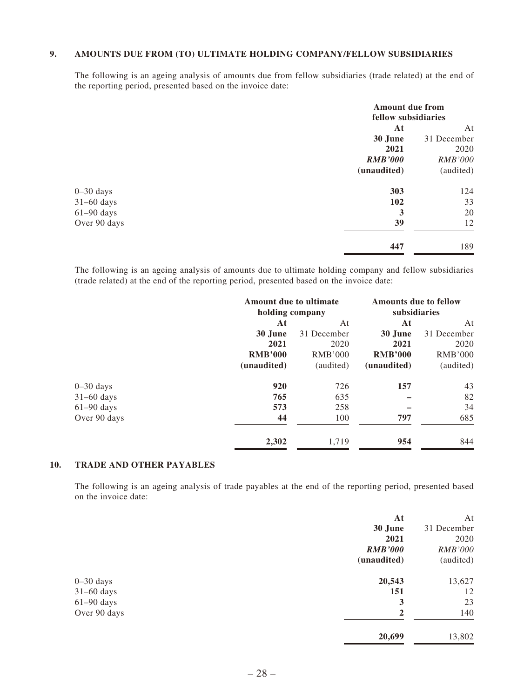### **9. AMOUNTS DUE FROM (TO) ULTIMATE HOLDING COMPANY/FELLOW SUBSIDIARIES**

The following is an ageing analysis of amounts due from fellow subsidiaries (trade related) at the end of the reporting period, presented based on the invoice date:

|               | <b>Amount due from</b><br>fellow subsidiaries |                |
|---------------|-----------------------------------------------|----------------|
|               | At                                            | At             |
|               | 30 June                                       | 31 December    |
|               | 2021                                          | 2020           |
|               | <b>RMB'000</b>                                | <b>RMB'000</b> |
|               | (unaudited)                                   | (audited)      |
| $0 - 30$ days | 303                                           | 124            |
| $31-60$ days  | 102                                           | 33             |
| $61-90$ days  | 3                                             | 20             |
| Over 90 days  | 39                                            | 12             |
|               | 447                                           | 189            |

The following is an ageing analysis of amounts due to ultimate holding company and fellow subsidiaries (trade related) at the end of the reporting period, presented based on the invoice date:

|               | Amount due to ultimate<br>holding company |                | <b>Amounts due to fellow</b><br>subsidiaries |                |
|---------------|-------------------------------------------|----------------|----------------------------------------------|----------------|
|               | At                                        | At             | At                                           | At             |
|               | 30 June                                   | 31 December    | 30 June                                      | 31 December    |
|               | 2021                                      | 2020           | 2021                                         | 2020           |
|               | <b>RMB'000</b>                            | <b>RMB'000</b> | <b>RMB'000</b>                               | <b>RMB'000</b> |
|               | (unaudited)                               | (audited)      | (unaudited)                                  | (audited)      |
| $0 - 30$ days | 920                                       | 726            | 157                                          | 43             |
| $31-60$ days  | 765                                       | 635            |                                              | 82             |
| $61-90$ days  | 573                                       | 258            |                                              | 34             |
| Over 90 days  | 44                                        | 100            | 797                                          | 685            |
|               | 2,302                                     | 1,719          | 954                                          | 844            |
|               |                                           |                |                                              |                |

### **10. TRADE AND OTHER PAYABLES**

The following is an ageing analysis of trade payables at the end of the reporting period, presented based on the invoice date:

|              | At             | At             |
|--------------|----------------|----------------|
|              | 30 June        | 31 December    |
|              | 2021           | 2020           |
|              | <b>RMB'000</b> | <b>RMB'000</b> |
|              | (unaudited)    | (audited)      |
| $0-30$ days  | 20,543         | 13,627         |
| $31-60$ days | 151            | 12             |
| $61-90$ days | 3              | 23             |
| Over 90 days | $\overline{2}$ | 140            |
|              | 20,699         | 13,802         |